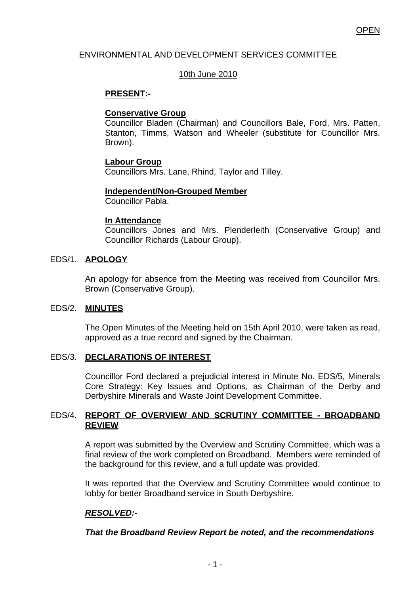# ENVIRONMENTAL AND DEVELOPMENT SERVICES COMMITTEE

# 10th June 2010

## **PRESENT:-**

## **Conservative Group**

Councillor Bladen (Chairman) and Councillors Bale, Ford, Mrs. Patten, Stanton, Timms, Watson and Wheeler (substitute for Councillor Mrs. Brown).

# **Labour Group**

Councillors Mrs. Lane, Rhind, Taylor and Tilley.

## **Independent/Non-Grouped Member**

Councillor Pabla.

## **In Attendance**

Councillors Jones and Mrs. Plenderleith (Conservative Group) and Councillor Richards (Labour Group).

## EDS/1. **APOLOGY**

An apology for absence from the Meeting was received from Councillor Mrs. Brown (Conservative Group).

## EDS/2. **MINUTES**

The Open Minutes of the Meeting held on 15th April 2010, were taken as read, approved as a true record and signed by the Chairman.

## EDS/3. **DECLARATIONS OF INTEREST**

Councillor Ford declared a prejudicial interest in Minute No. EDS/5, Minerals Core Strategy: Key Issues and Options, as Chairman of the Derby and Derbyshire Minerals and Waste Joint Development Committee.

## EDS/4. **REPORT OF OVERVIEW AND SCRUTINY COMMITTEE - BROADBAND REVIEW**

A report was submitted by the Overview and Scrutiny Committee, which was a final review of the work completed on Broadband. Members were reminded of the background for this review, and a full update was provided.

It was reported that the Overview and Scrutiny Committee would continue to lobby for better Broadband service in South Derbyshire.

# *RESOLVED:-*

## *That the Broadband Review Report be noted, and the recommendations*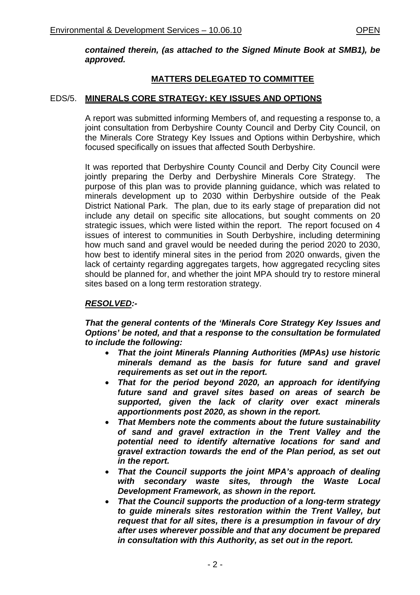## *contained therein, (as attached to the Signed Minute Book at SMB1), be approved.*

# **MATTERS DELEGATED TO COMMITTEE**

# EDS/5. **MINERALS CORE STRATEGY: KEY ISSUES AND OPTIONS**

A report was submitted informing Members of, and requesting a response to, a joint consultation from Derbyshire County Council and Derby City Council, on the Minerals Core Strategy Key Issues and Options within Derbyshire, which focused specifically on issues that affected South Derbyshire.

It was reported that Derbyshire County Council and Derby City Council were jointly preparing the Derby and Derbyshire Minerals Core Strategy. The purpose of this plan was to provide planning guidance, which was related to minerals development up to 2030 within Derbyshire outside of the Peak District National Park. The plan, due to its early stage of preparation did not include any detail on specific site allocations, but sought comments on 20 strategic issues, which were listed within the report. The report focused on 4 issues of interest to communities in South Derbyshire, including determining how much sand and gravel would be needed during the period 2020 to 2030, how best to identify mineral sites in the period from 2020 onwards, given the lack of certainty regarding aggregates targets, how aggregated recycling sites should be planned for, and whether the joint MPA should try to restore mineral sites based on a long term restoration strategy.

# *RESOLVED:-*

*That the general contents of the 'Minerals Core Strategy Key Issues and Options' be noted, and that a response to the consultation be formulated to include the following:* 

- *That the joint Minerals Planning Authorities (MPAs) use historic minerals demand as the basis for future sand and gravel requirements as set out in the report.*
- *That for the period beyond 2020, an approach for identifying future sand and gravel sites based on areas of search be supported, given the lack of clarity over exact minerals apportionments post 2020, as shown in the report.*
- *That Members note the comments about the future sustainability of sand and gravel extraction in the Trent Valley and the potential need to identify alternative locations for sand and gravel extraction towards the end of the Plan period, as set out in the report.*
- *That the Council supports the joint MPA's approach of dealing with secondary waste sites, through the Waste Local Development Framework, as shown in the report.*
- *That the Council supports the production of a long-term strategy to guide minerals sites restoration within the Trent Valley, but request that for all sites, there is a presumption in favour of dry after uses wherever possible and that any document be prepared in consultation with this Authority, as set out in the report.*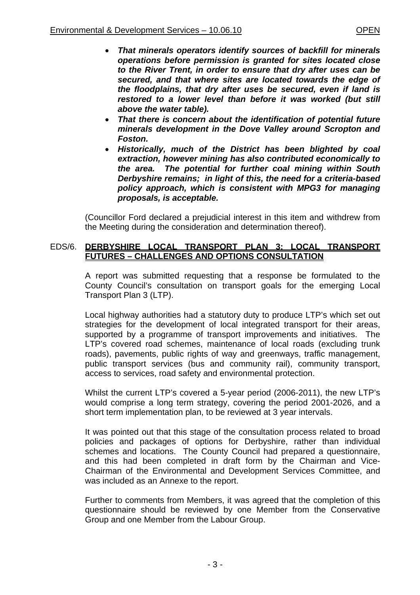- *That minerals operators identify sources of backfill for minerals operations before permission is granted for sites located close to the River Trent, in order to ensure that dry after uses can be secured, and that where sites are located towards the edge of the floodplains, that dry after uses be secured, even if land is restored to a lower level than before it was worked (but still above the water table).*
- *That there is concern about the identification of potential future minerals development in the Dove Valley around Scropton and Foston.*
- *Historically, much of the District has been blighted by coal extraction, however mining has also contributed economically to the area. The potential for further coal mining within South Derbyshire remains; in light of this, the need for a criteria-based policy approach, which is consistent with MPG3 for managing proposals, is acceptable.*

(Councillor Ford declared a prejudicial interest in this item and withdrew from the Meeting during the consideration and determination thereof).

## EDS/6. **DERBYSHIRE LOCAL TRANSPORT PLAN 3: LOCAL TRANSPORT FUTURES – CHALLENGES AND OPTIONS CONSULTATION**

A report was submitted requesting that a response be formulated to the County Council's consultation on transport goals for the emerging Local Transport Plan 3 (LTP).

Local highway authorities had a statutory duty to produce LTP's which set out strategies for the development of local integrated transport for their areas, supported by a programme of transport improvements and initiatives. The LTP's covered road schemes, maintenance of local roads (excluding trunk roads), pavements, public rights of way and greenways, traffic management, public transport services (bus and community rail), community transport, access to services, road safety and environmental protection.

Whilst the current LTP's covered a 5-year period (2006-2011), the new LTP's would comprise a long term strategy, covering the period 2001-2026, and a short term implementation plan, to be reviewed at 3 year intervals.

It was pointed out that this stage of the consultation process related to broad policies and packages of options for Derbyshire, rather than individual schemes and locations. The County Council had prepared a questionnaire, and this had been completed in draft form by the Chairman and Vice-Chairman of the Environmental and Development Services Committee, and was included as an Annexe to the report.

Further to comments from Members, it was agreed that the completion of this questionnaire should be reviewed by one Member from the Conservative Group and one Member from the Labour Group.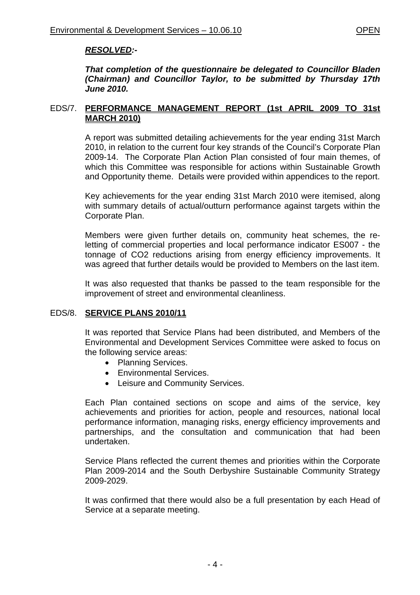# *RESOLVED:-*

*That completion of the questionnaire be delegated to Councillor Bladen (Chairman) and Councillor Taylor, to be submitted by Thursday 17th June 2010.*

# EDS/7. **PERFORMANCE MANAGEMENT REPORT (1st APRIL 2009 TO 31st MARCH 2010)**

A report was submitted detailing achievements for the year ending 31st March 2010, in relation to the current four key strands of the Council's Corporate Plan 2009-14. The Corporate Plan Action Plan consisted of four main themes, of which this Committee was responsible for actions within Sustainable Growth and Opportunity theme. Details were provided within appendices to the report.

Key achievements for the year ending 31st March 2010 were itemised, along with summary details of actual/outturn performance against targets within the Corporate Plan.

Members were given further details on, community heat schemes, the reletting of commercial properties and local performance indicator ES007 - the tonnage of CO2 reductions arising from energy efficiency improvements. It was agreed that further details would be provided to Members on the last item.

It was also requested that thanks be passed to the team responsible for the improvement of street and environmental cleanliness.

## EDS/8. **SERVICE PLANS 2010/11**

It was reported that Service Plans had been distributed, and Members of the Environmental and Development Services Committee were asked to focus on the following service areas:

- Planning Services.
- Environmental Services.
- Leisure and Community Services.

Each Plan contained sections on scope and aims of the service, key achievements and priorities for action, people and resources, national local performance information, managing risks, energy efficiency improvements and partnerships, and the consultation and communication that had been undertaken.

Service Plans reflected the current themes and priorities within the Corporate Plan 2009-2014 and the South Derbyshire Sustainable Community Strategy 2009-2029.

It was confirmed that there would also be a full presentation by each Head of Service at a separate meeting.